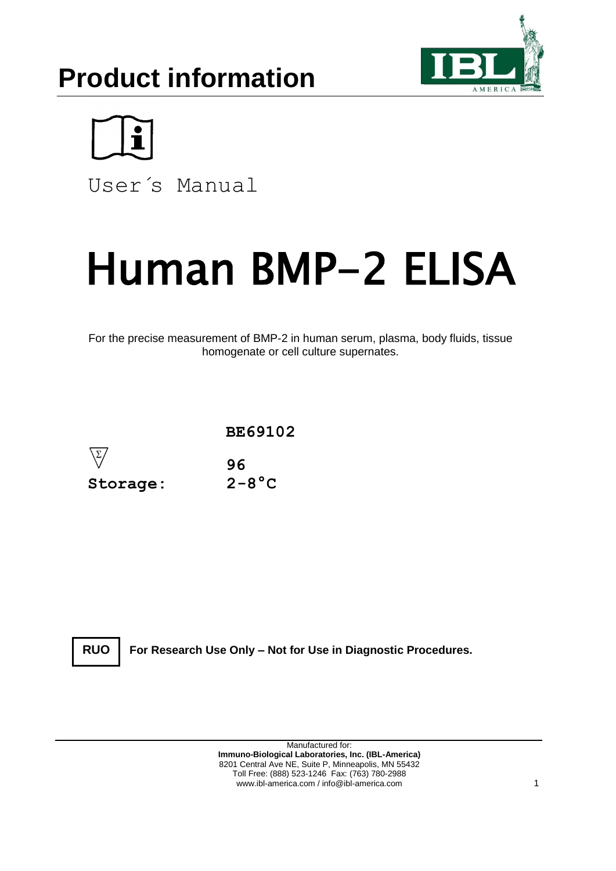# **Product information**





User´s Manual

# Human BMP-2 ELISA

For the precise measurement of BMP-2 in human serum, plasma, body fluids, tissue homogenate or cell culture supernates.



**RUO**

**For Research Use Only – Not for Use in Diagnostic Procedures.**

Manufactured for: **Immuno-Biological Laboratories, Inc. (IBL-America)** 8201 Central Ave NE, Suite P, Minneapolis, MN 55432 Toll Free: (888) 523-1246 Fax: (763) 780-2988 www.ibl-america.com / info@ibl-america.com 1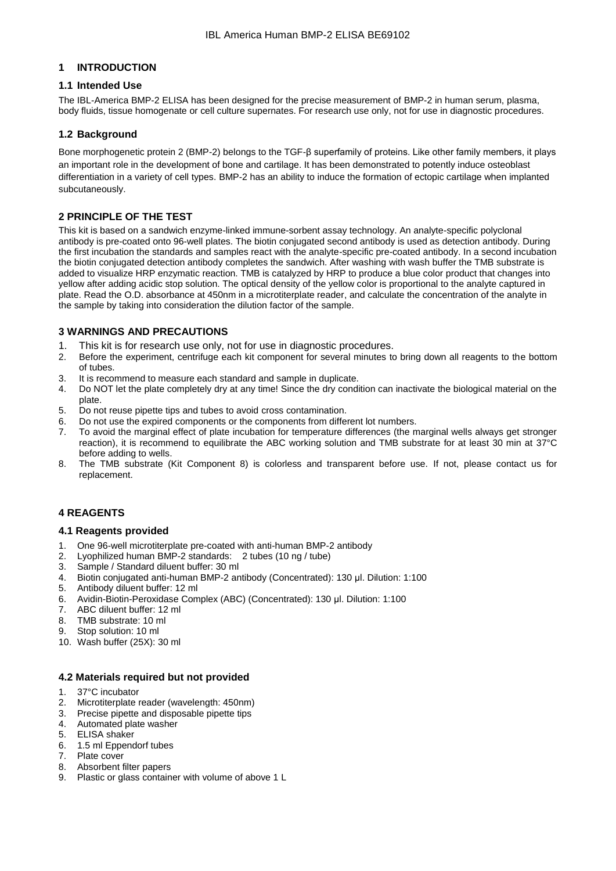# **1 INTRODUCTION**

# **1.1 Intended Use**

The IBL-America BMP-2 ELISA has been designed for the precise measurement of BMP-2 in human serum, plasma, body fluids, tissue homogenate or cell culture supernates. For research use only, not for use in diagnostic procedures.

# **1.2 Background**

Bone morphogenetic protein 2 (BMP-2) belongs to the TGF-β superfamily of proteins. Like other family members, it plays an important role in the development of bone and cartilage. It has been demonstrated to potently induce osteoblast differentiation in a variety of cell types. BMP-2 has an ability to induce the formation of ectopic cartilage when implanted subcutaneously.

# **2 PRINCIPLE OF THE TEST**

This kit is based on a sandwich enzyme-linked immune-sorbent assay technology. An analyte-specific polyclonal antibody is pre-coated onto 96-well plates. The biotin conjugated second antibody is used as detection antibody. During the first incubation the standards and samples react with the analyte-specific pre-coated antibody. In a second incubation the biotin conjugated detection antibody completes the sandwich. After washing with wash buffer the TMB substrate is added to visualize HRP enzymatic reaction. TMB is catalyzed by HRP to produce a blue color product that changes into yellow after adding acidic stop solution. The optical density of the yellow color is proportional to the analyte captured in plate. Read the O.D. absorbance at 450nm in a microtiterplate reader, and calculate the concentration of the analyte in the sample by taking into consideration the dilution factor of the sample.

# **3 WARNINGS AND PRECAUTIONS**

- 1. This kit is for research use only, not for use in diagnostic procedures.
- 2. Before the experiment, centrifuge each kit component for several minutes to bring down all reagents to the bottom of tubes.
- 3. It is recommend to measure each standard and sample in duplicate.
- 4. Do NOT let the plate completely dry at any time! Since the dry condition can inactivate the biological material on the plate.
- 5. Do not reuse pipette tips and tubes to avoid cross contamination.
- 6. Do not use the expired components or the components from different lot numbers.
- 7. To avoid the marginal effect of plate incubation for temperature differences (the marginal wells always get stronger reaction), it is recommend to equilibrate the ABC working solution and TMB substrate for at least 30 min at 37°C before adding to wells.
- 8. The TMB substrate (Kit Component 8) is colorless and transparent before use. If not, please contact us for replacement.

# **4 REAGENTS**

# **4.1 Reagents provided**

- 1. One 96-well microtiterplate pre-coated with anti-human BMP-2 antibody
- 2. Lyophilized human BMP-2 standards: 2 tubes (10 ng / tube)
- 3. Sample / Standard diluent buffer: 30 ml
- 4. Biotin conjugated anti-human BMP-2 antibody (Concentrated): 130 μl. Dilution: 1:100
- 5. Antibody diluent buffer: 12 ml
- 6. Avidin-Biotin-Peroxidase Complex (ABC) (Concentrated): 130 μl. Dilution: 1:100
- 7. ABC diluent buffer: 12 ml
- 8. TMB substrate: 10 ml
- 9. Stop solution: 10 ml
- 10. Wash buffer (25X): 30 ml

# **4.2 Materials required but not provided**

- 1. 37°C incubator
- 2. Microtiterplate reader (wavelength: 450nm)<br>3. Precise pipette and disposable pipette tins
- Precise pipette and disposable pipette tips
- 4. Automated plate washer
- 5. ELISA shaker
- 6. 1.5 ml Eppendorf tubes
- 7. Plate cover
- 8. Absorbent filter papers<br>9. Plastic or glass contain
- Plastic or glass container with volume of above 1 L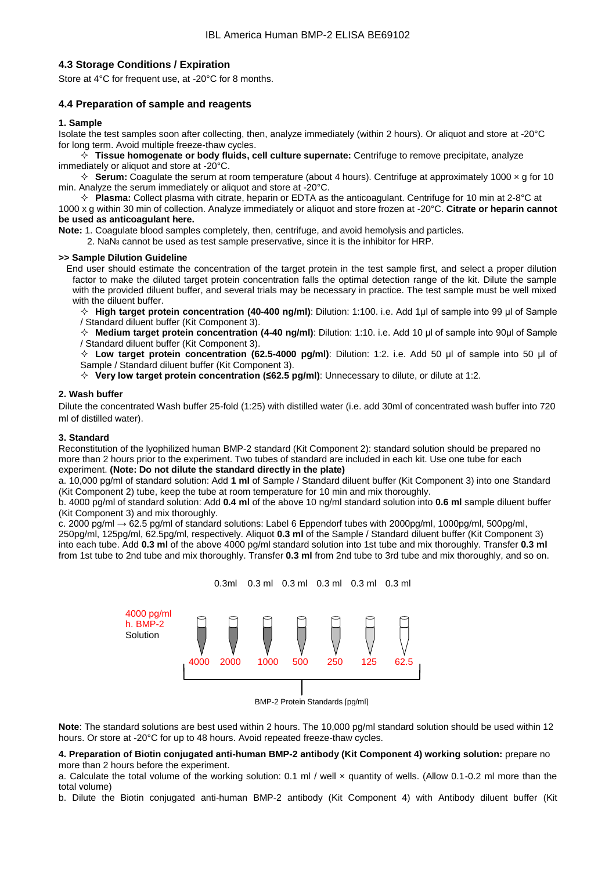# **4.3 Storage Conditions / Expiration**

Store at 4°C for frequent use, at -20°C for 8 months.

# **4.4 Preparation of sample and reagents**

#### **1. Sample**

Isolate the test samples soon after collecting, then, analyze immediately (within 2 hours). Or aliquot and store at -20°C for long term. Avoid multiple freeze-thaw cycles.

 **Tissue homogenate or body fluids, cell culture supernate:** Centrifuge to remove precipitate, analyze immediately or aliquot and store at -20°C.

 $\Diamond$  **Serum:** Coagulate the serum at room temperature (about 4 hours). Centrifuge at approximately 1000  $\times$  g for 10 min. Analyze the serum immediately or aliquot and store at -20°C.

 **Plasma:** Collect plasma with citrate, heparin or EDTA as the anticoagulant. Centrifuge for 10 min at 2-8°C at 1000 x g within 30 min of collection. Analyze immediately or aliquot and store frozen at -20°C. **Citrate or heparin cannot** 

# **be used as anticoagulant here.**

**Note:** 1. Coagulate blood samples completely, then, centrifuge, and avoid hemolysis and particles.

2.  $\text{NaN}_3$  cannot be used as test sample preservative, since it is the inhibitor for HRP.

#### **>> Sample Dilution Guideline**

End user should estimate the concentration of the target protein in the test sample first, and select a proper dilution factor to make the diluted target protein concentration falls the optimal detection range of the kit. Dilute the sample with the provided diluent buffer, and several trials may be necessary in practice. The test sample must be well mixed with the diluent buffer.

 **High target protein concentration (40-400 ng/ml)**: Dilution: 1:100. i.e. Add 1μl of sample into 99 μl of Sample / Standard diluent buffer (Kit Component 3).

 **Medium target protein concentration (4-40 ng/ml)**: Dilution: 1:10. i.e. Add 10 μl of sample into 90μl of Sample / Standard diluent buffer (Kit Component 3).

 **Low target protein concentration (62.5-4000 pg/ml)**: Dilution: 1:2. i.e. Add 50 μl of sample into 50 μl of Sample / Standard diluent buffer (Kit Component 3).

**Very low target protein concentration (≤62.5 pg/ml)**: Unnecessary to dilute, or dilute at 1:2.

#### **2. Wash buffer**

Dilute the concentrated Wash buffer 25-fold (1:25) with distilled water (i.e. add 30ml of concentrated wash buffer into 720 ml of distilled water).

#### **3. Standard**

Reconstitution of the lyophilized human BMP-2 standard (Kit Component 2): standard solution should be prepared no more than 2 hours prior to the experiment. Two tubes of standard are included in each kit. Use one tube for each experiment. **(Note: Do not dilute the standard directly in the plate)**

a. 10,000 pg/ml of standard solution: Add **1 ml** of Sample / Standard diluent buffer (Kit Component 3) into one Standard (Kit Component 2) tube, keep the tube at room temperature for 10 min and mix thoroughly.

b. 4000 pg/ml of standard solution: Add **0.4 ml** of the above 10 ng/ml standard solution into **0.6 ml** sample diluent buffer (Kit Component 3) and mix thoroughly.

c. 2000 pg/ml → 62.5 pg/ml of standard solutions: Label 6 Eppendorf tubes with 2000pg/ml, 1000pg/ml, 500pg/ml, 250pg/ml, 125pg/ml, 62.5pg/ml, respectively. Aliquot **0.3 ml** of the Sample / Standard diluent buffer (Kit Component 3) into each tube. Add **0.3 ml** of the above 4000 pg/ml standard solution into 1st tube and mix thoroughly. Transfer **0.3 ml** from 1st tube to 2nd tube and mix thoroughly. Transfer **0.3 ml** from 2nd tube to 3rd tube and mix thoroughly, and so on.



BMP-2 Protein Standards [pg/ml]

**Note**: The standard solutions are best used within 2 hours. The 10,000 pg/ml standard solution should be used within 12 hours. Or store at -20°C for up to 48 hours. Avoid repeated freeze-thaw cycles.

**4. Preparation of Biotin conjugated anti-human BMP-2 antibody (Kit Component 4) working solution:** prepare no more than 2 hours before the experiment.

a. Calculate the total volume of the working solution: 0.1 ml / well x quantity of wells. (Allow 0.1-0.2 ml more than the total volume)

b. Dilute the Biotin conjugated anti-human BMP-2 antibody (Kit Component 4) with Antibody diluent buffer (Kit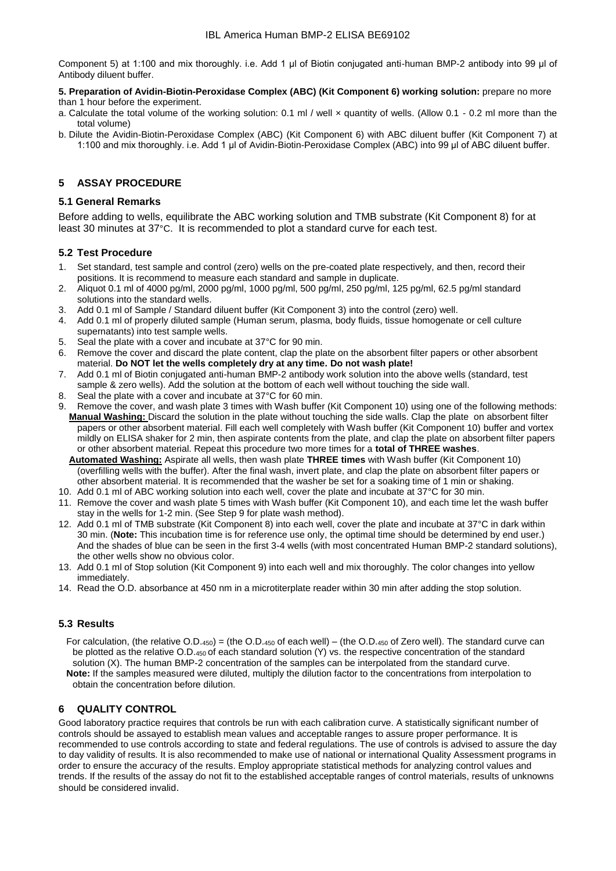Component 5) at 1:100 and mix thoroughly. i.e. Add 1 μl of Biotin conjugated anti-human BMP-2 antibody into 99 μl of Antibody diluent buffer.

#### **5. Preparation of Avidin-Biotin-Peroxidase Complex (ABC) (Kit Component 6) working solution:** prepare no more than 1 hour before the experiment.

- a. Calculate the total volume of the working solution: 0.1 ml / well × quantity of wells. (Allow 0.1 0.2 ml more than the total volume)
- b. Dilute the Avidin-Biotin-Peroxidase Complex (ABC) (Kit Component 6) with ABC diluent buffer (Kit Component 7) at 1:100 and mix thoroughly. i.e. Add 1 μl of Avidin-Biotin-Peroxidase Complex (ABC) into 99 μl of ABC diluent buffer.

# **5 ASSAY PROCEDURE**

# **5.1 General Remarks**

Before adding to wells, equilibrate the ABC working solution and TMB substrate (Kit Component 8) for at least 30 minutes at 37°C. It is recommended to plot a standard curve for each test.

# **5.2 Test Procedure**

- 1. Set standard, test sample and control (zero) wells on the pre-coated plate respectively, and then, record their positions. It is recommend to measure each standard and sample in duplicate.
- 2. Aliquot 0.1 ml of 4000 pg/ml, 2000 pg/ml, 1000 pg/ml, 500 pg/ml, 250 pg/ml, 125 pg/ml, 62.5 pg/ml standard solutions into the standard wells.
- 3. Add 0.1 ml of Sample / Standard diluent buffer (Kit Component 3) into the control (zero) well.
- 4. Add 0.1 ml of properly diluted sample (Human serum, plasma, body fluids, tissue homogenate or cell culture supernatants) into test sample wells.
- 5. Seal the plate with a cover and incubate at 37°C for 90 min.
- 6. Remove the cover and discard the plate content, clap the plate on the absorbent filter papers or other absorbent material. **Do NOT let the wells completely dry at any time. Do not wash plate!**
- 7. Add 0.1 ml of Biotin conjugated anti-human BMP-2 antibody work solution into the above wells (standard, test sample & zero wells). Add the solution at the bottom of each well without touching the side wall.  $\frac{1}{2}$ <br>8. Seal the plate with a cover and incubate at 37°C for 60 min.<br>9. Remove the cover and wash plate 3 time
- 
- Remove the cover, and wash plate 3 times with Wash buffer (Kit Component 10) using one of the following methods: **Manual Washing:** Discard the solution in the plate without touching the side walls. Clap the plate on absorbent filter papers or other absorbent material. Fill each well completely with Wash buffer (Kit Component 10) buffer and vortex mildly on ELISA shaker for 2 min, then aspirate contents from the plate, and clap the plate on absorbent filter papers or other absorbent material. Repeat this procedure two more times for a **total of THREE washes**.

 **Automated Washing:** Aspirate all wells, then wash plate **THREE times** with Wash buffer (Kit Component 10) (overfilling wells with the buffer). After the final wash, invert plate, and clap the plate on absorbent filter papers or other absorbent material. It is recommended that the washer be set for a soaking time of 1 min or shaking.

- 10. Add 0.1 ml of ABC working solution into each well, cover the plate and incubate at 37°C for 30 min.
- 11. Remove the cover and wash plate 5 times with Wash buffer (Kit Component 10), and each time let the wash buffer stay in the wells for 1-2 min. (See Step 9 for plate wash method).
- 12. Add 0.1 ml of TMB substrate (Kit Component 8) into each well, cover the plate and incubate at 37°C in dark within 30 min. (**Note:** This incubation time is for reference use only, the optimal time should be determined by end user.) And the shades of blue can be seen in the first 3-4 wells (with most concentrated Human BMP-2 standard solutions), the other wells show no obvious color.
- 13. Add 0.1 ml of Stop solution (Kit Component 9) into each well and mix thoroughly. The color changes into yellow immediately.
- 14. Read the O.D. absorbance at 450 nm in a microtiterplate reader within 30 min after adding the stop solution.

# **5.3 Results**

 For calculation, (the relative O.D.450) = (the O.D.<sup>450</sup> of each well) – (the O.D.<sup>450</sup> of Zero well). The standard curve can be plotted as the relative O.D.<sub>450</sub> of each standard solution (Y) vs. the respective concentration of the standard solution (X). The human BMP-2 concentration of the samples can be interpolated from the standard curve.  **Note:** If the samples measured were diluted, multiply the dilution factor to the concentrations from interpolation to obtain the concentration before dilution.

# **6 QUALITY CONTROL**

Good laboratory practice requires that controls be run with each calibration curve. A statistically significant number of controls should be assayed to establish mean values and acceptable ranges to assure proper performance. It is recommended to use controls according to state and federal regulations. The use of controls is advised to assure the day to day validity of results. It is also recommended to make use of national or international Quality Assessment programs in order to ensure the accuracy of the results. Employ appropriate statistical methods for analyzing control values and trends. If the results of the assay do not fit to the established acceptable ranges of control materials, results of unknowns should be considered invalid.